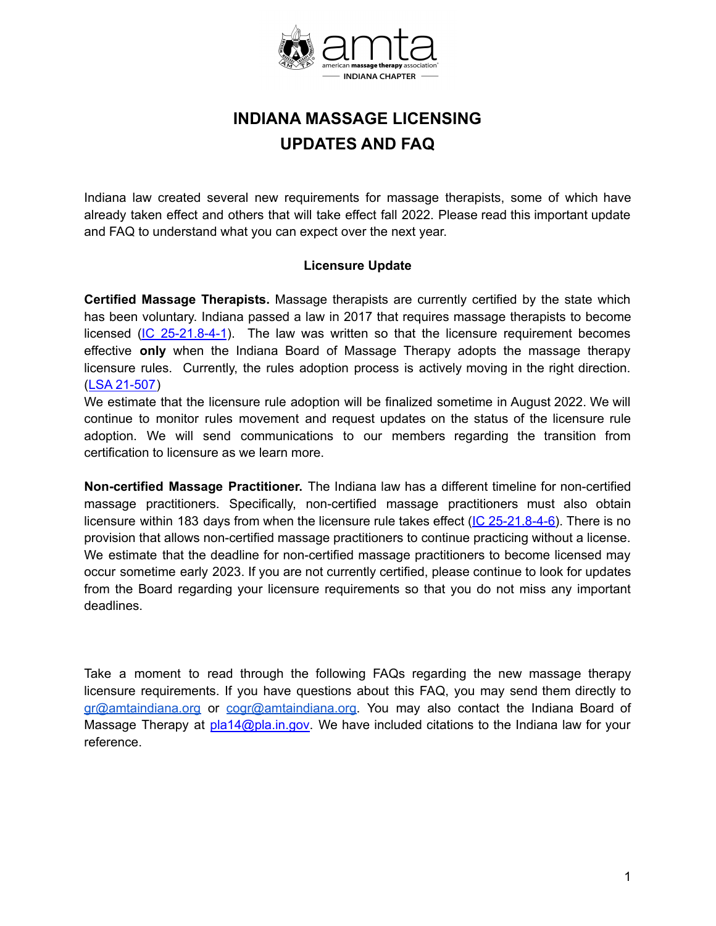

# **INDIANA MASSAGE LICENSING UPDATES AND FAQ**

Indiana law created several new requirements for massage therapists, some of which have already taken effect and others that will take effect fall 2022. Please read this important update and FAQ to understand what you can expect over the next year.

### **Licensure Update**

**Certified Massage Therapists.** Massage therapists are currently certified by the state which has been voluntary. Indiana passed a law in 2017 that requires massage therapists to become licensed ( $IC$  [25-21.8-4-1](http://iga.in.gov/legislative/laws/2021/ic/titles/25#25-21.8)). The law was written so that the licensure requirement becomes effective **only** when the Indiana Board of Massage Therapy adopts the massage therapy licensure rules. Currently, the rules adoption process is actively moving in the right direction. (LSA [21-507\)](http://iac.iga.in.gov/iac/20220105-IR-847210507PRA.xml.pdf)

We estimate that the licensure rule adoption will be finalized sometime in August 2022. We will continue to monitor rules movement and request updates on the status of the licensure rule adoption. We will send communications to our members regarding the transition from certification to licensure as we learn more.

**Non-certified Massage Practitioner.** The Indiana law has a different timeline for non-certified massage practitioners. Specifically, non-certified massage practitioners must also obtain licensure within 183 days from when the licensure rule takes effect (IC [25-21.8-4-6\)](http://iga.in.gov/legislative/laws/2021/ic/titles/025/#25-21.8-4-6). There is no provision that allows non-certified massage practitioners to continue practicing without a license. We estimate that the deadline for non-certified massage practitioners to become licensed may occur sometime early 2023. If you are not currently certified, please continue to look for updates from the Board regarding your licensure requirements so that you do not miss any important deadlines.

Take a moment to read through the following FAQs regarding the new massage therapy licensure requirements. If you have questions about this FAQ, you may send them directly to [gr@amtaindiana.org](mailto:gr@amtaindiana.org) or [cogr@amtaindiana.org](mailto:cogr@amtaindiana.org). You may also contact the Indiana Board of Massage Therapy at [pla14@pla.in.gov.](mailto:pla14@pla.in.gov) We have included citations to the Indiana law for your reference.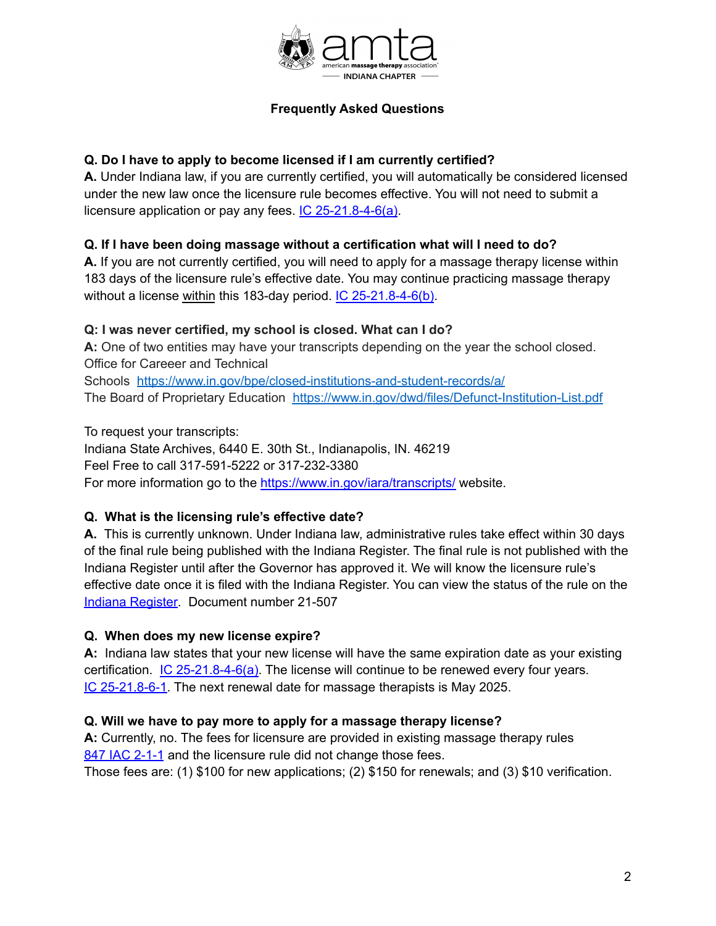

# **Frequently Asked Questions**

# **Q. Do I have to apply to become licensed if I am currently certified?**

**A.** Under Indiana law, if you are currently certified, you will automatically be considered licensed under the new law once the licensure rule becomes effective. You will not need to submit a licensure application or pay any fees. IC [25-21.8-4-6\(a\)](http://iga.in.gov/legislative/laws/2021/ic/titles/25#25-21.8).

# **Q. If I have been doing massage without a certification what will I need to do?**

**A.** If you are not currently certified, you will need to apply for a massage therapy license within 183 days of the licensure rule's effective date. You may continue practicing massage therapy without a license within this 183-day period. IC [25-21.8-4-6\(b\)](http://iga.in.gov/legislative/laws/2021/ic/titles/25#25-21.8).

# **Q: I was never certified, my school is closed. What can I do?**

**A:** One of two entities may have your transcripts depending on the year the school closed. Office for Careeer and Technical Schools <https://www.in.gov/bpe/closed-institutions-and-student-records/a/> The Board of Proprietary Education <https://www.in.gov/dwd/files/Defunct-Institution-List.pdf>

To request your transcripts:

Indiana State Archives, 6440 E. 30th St., Indianapolis, IN. 46219 Feel Free to call 317-591-5222 or 317-232-3380 For more information go to the [https://www.in.gov/iara/transcripts/](https://www.in.gov/iara/transcripts/%20) website.

### **Q. What is the licensing rule's effective date?**

**A.** This is currently unknown. Under Indiana law, administrative rules take effect within 30 days of the final rule being published with the Indiana Register. The final rule is not published with the Indiana Register until after the Governor has approved it. We will know the licensure rule's effective date once it is filed with the Indiana Register. You can view the status of the rule on the Indiana [Register](http://iac.iga.in.gov/iac/irtoc.htm?lsayear=21&lsadoc=507&view=list&ldn=Y). Document number 21-507

# **Q. When does my new license expire?**

**A:** Indiana law states that your new license will have the same expiration date as your existing certification. IC [25-21.8-4-6\(a\)](http://iga.in.gov/legislative/laws/2021/ic/titles/025/#25-21.8-4-6). The license will continue to be renewed every four years. IC [25-21.8-6-1.](http://iga.in.gov/legislative/laws/2021/ic/titles/25#25-21.8) The next renewal date for massage therapists is May 2025.

### **Q. Will we have to pay more to apply for a massage therapy license?**

**A:** Currently, no. The fees for licensure are provided in existing massage therapy rules 847 IAC [2-1-1](http://iac.iga.in.gov/iac/T08470/A00020.PDF?) and the licensure rule did not change those fees.

Those fees are: (1) \$100 for new applications; (2) \$150 for renewals; and (3) \$10 verification.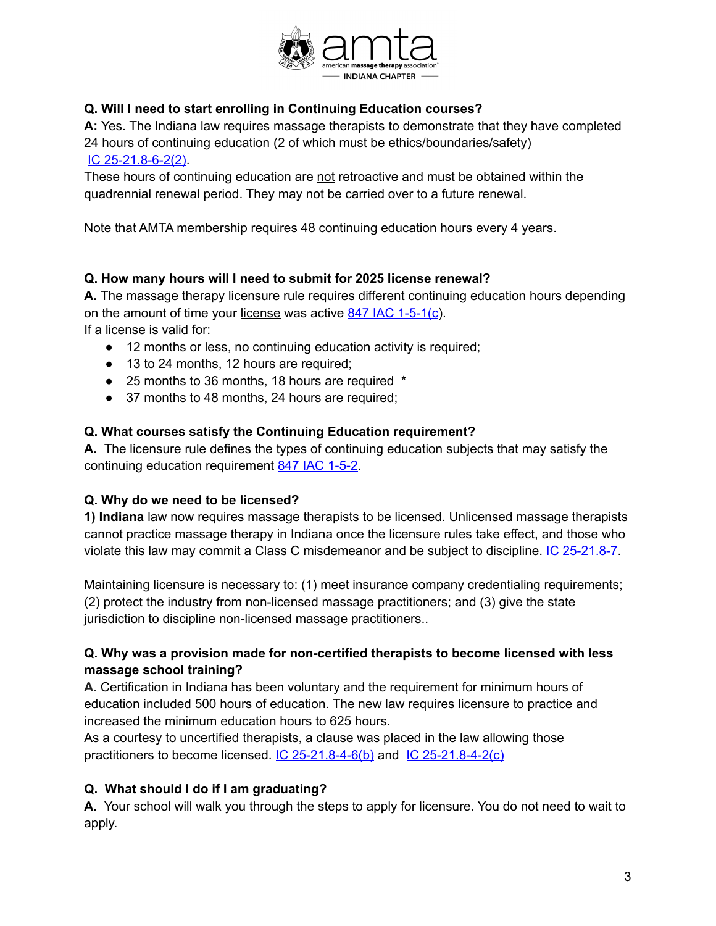

# **Q. Will I need to start enrolling in Continuing Education courses?**

**A:** Yes. The Indiana law requires massage therapists to demonstrate that they have completed 24 hours of continuing education (2 of which must be ethics/boundaries/safety) IC [25-21.8-6-2\(2\)](http://iga.in.gov/legislative/laws/2021/ic/titles/25#25-21.8).

These hours of continuing education are not retroactive and must be obtained within the quadrennial renewal period. They may not be carried over to a future renewal.

Note that AMTA membership requires 48 continuing education hours every 4 years.

# **Q. How many hours will I need to submit for 2025 license renewal?**

**A.** The massage therapy licensure rule requires different continuing education hours depending on the amount of time your license was active 847 IAC [1-5-1\(c](http://iac.iga.in.gov/iac/20220105-IR-847210507PRA.xml.pdf)). If a license is valid for:

- 12 months or less, no continuing education activity is required;
- 13 to 24 months, 12 hours are required;
- 25 months to 36 months, 18 hours are required  $*$
- 37 months to 48 months, 24 hours are required;

### **Q. What courses satisfy the Continuing Education requirement?**

**A.** The licensure rule defines the types of continuing education subjects that may satisfy the continuing education requirement 847 IAC [1-5-2](http://iac.iga.in.gov/iac/20220105-IR-847210507PRA.xml.pdf).

### **Q. Why do we need to be licensed?**

**1) Indiana** law now requires massage therapists to be licensed. Unlicensed massage therapists cannot practice massage therapy in Indiana once the licensure rules take effect, and those who violate this law may commit a Class C misdemeanor and be subject to discipline. IC [25-21.8-7](http://iga.in.gov/legislative/laws/2021/ic/titles/25#25-21.8).

Maintaining licensure is necessary to: (1) meet insurance company credentialing requirements; (2) protect the industry from non-licensed massage practitioners; and (3) give the state jurisdiction to discipline non-licensed massage practitioners..

# **Q. Why was a provision made for non-certified therapists to become licensed with less massage school training?**

**A.** Certification in Indiana has been voluntary and the requirement for minimum hours of education included 500 hours of education. The new law requires licensure to practice and increased the minimum education hours to 625 hours.

As a courtesy to uncertified therapists, a clause was placed in the law allowing those practitioners to become licensed.  $IC$  [25-21.8-4-6\(b\)](http://iga.in.gov/legislative/laws/2021/ic/titles/25#25-21.8) and  $IC$  [25-21.8-4-2\(c\)](http://iga.in.gov/legislative/laws/2021/ic/titles/25#25-21.8)

# **Q. What should I do if I am graduating?**

**A.** Your school will walk you through the steps to apply for licensure. You do not need to wait to apply.